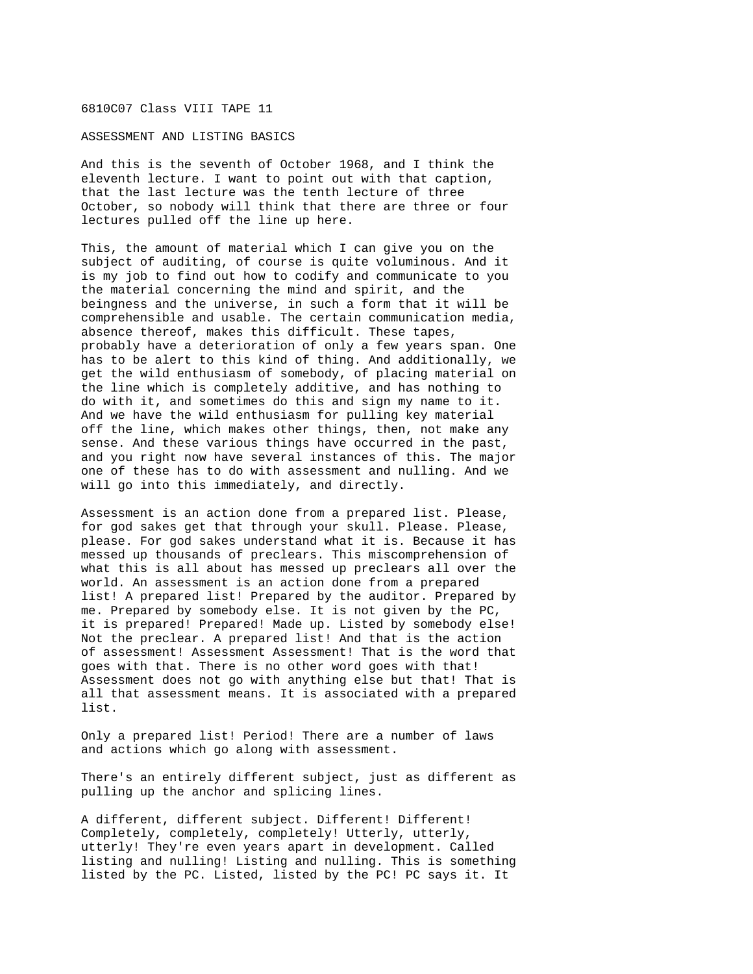## 6810C07 Class VIII TAPE 11

## ASSESSMENT AND LISTING BASICS

And this is the seventh of October 1968, and I think the eleventh lecture. I want to point out with that caption, that the last lecture was the tenth lecture of three October, so nobody will think that there are three or four lectures pulled off the line up here.

This, the amount of material which I can give you on the subject of auditing, of course is quite voluminous. And it is my job to find out how to codify and communicate to you the material concerning the mind and spirit, and the beingness and the universe, in such a form that it will be comprehensible and usable. The certain communication media, absence thereof, makes this difficult. These tapes, probably have a deterioration of only a few years span. One has to be alert to this kind of thing. And additionally, we get the wild enthusiasm of somebody, of placing material on the line which is completely additive, and has nothing to do with it, and sometimes do this and sign my name to it. And we have the wild enthusiasm for pulling key material off the line, which makes other things, then, not make any sense. And these various things have occurred in the past, and you right now have several instances of this. The major one of these has to do with assessment and nulling. And we will go into this immediately, and directly.

Assessment is an action done from a prepared list. Please, for god sakes get that through your skull. Please. Please, please. For god sakes understand what it is. Because it has messed up thousands of preclears. This miscomprehension of what this is all about has messed up preclears all over the world. An assessment is an action done from a prepared list! A prepared list! Prepared by the auditor. Prepared by me. Prepared by somebody else. It is not given by the PC, it is prepared! Prepared! Made up. Listed by somebody else! Not the preclear. A prepared list! And that is the action of assessment! Assessment Assessment! That is the word that goes with that. There is no other word goes with that! Assessment does not go with anything else but that! That is all that assessment means. It is associated with a prepared list.

Only a prepared list! Period! There are a number of laws and actions which go along with assessment.

There's an entirely different subject, just as different as pulling up the anchor and splicing lines.

A different, different subject. Different! Different! Completely, completely, completely! Utterly, utterly, utterly! They're even years apart in development. Called listing and nulling! Listing and nulling. This is something listed by the PC. Listed, listed by the PC! PC says it. It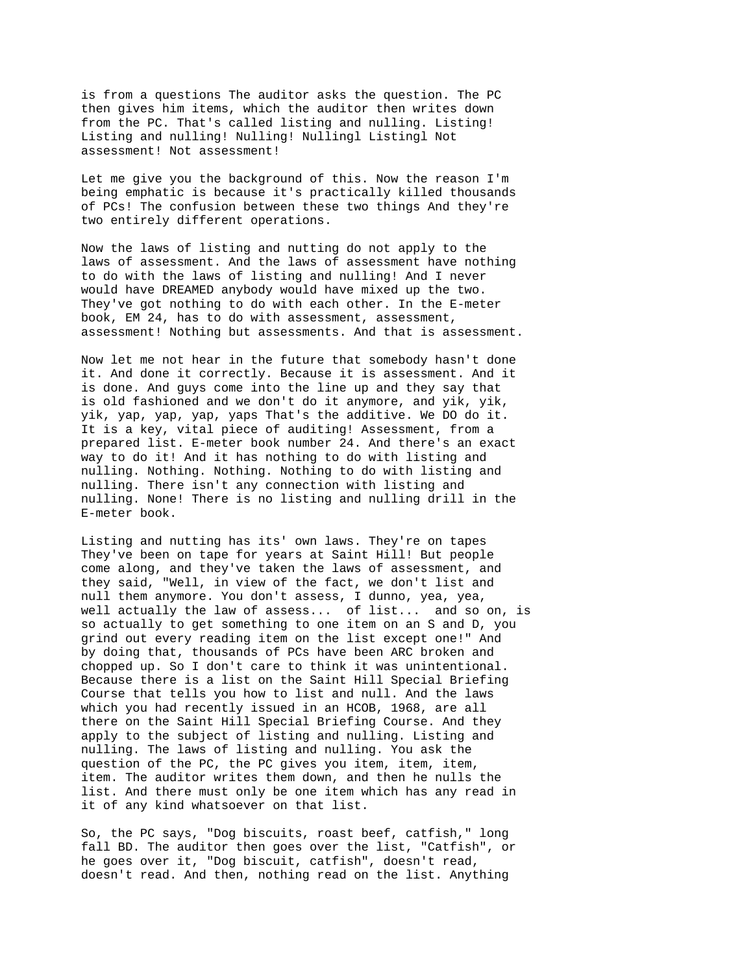is from a questions The auditor asks the question. The PC then gives him items, which the auditor then writes down from the PC. That's called listing and nulling. Listing! Listing and nulling! Nulling! Nullingl Listingl Not assessment! Not assessment!

Let me give you the background of this. Now the reason I'm being emphatic is because it's practically killed thousands of PCs! The confusion between these two things And they're two entirely different operations.

Now the laws of listing and nutting do not apply to the laws of assessment. And the laws of assessment have nothing to do with the laws of listing and nulling! And I never would have DREAMED anybody would have mixed up the two. They've got nothing to do with each other. In the E-meter book, EM 24, has to do with assessment, assessment, assessment! Nothing but assessments. And that is assessment.

Now let me not hear in the future that somebody hasn't done it. And done it correctly. Because it is assessment. And it is done. And guys come into the line up and they say that is old fashioned and we don't do it anymore, and yik, yik, yik, yap, yap, yap, yaps That's the additive. We DO do it. It is a key, vital piece of auditing! Assessment, from a prepared list. E-meter book number 24. And there's an exact way to do it! And it has nothing to do with listing and nulling. Nothing. Nothing. Nothing to do with listing and nulling. There isn't any connection with listing and nulling. None! There is no listing and nulling drill in the E-meter book.

Listing and nutting has its' own laws. They're on tapes They've been on tape for years at Saint Hill! But people come along, and they've taken the laws of assessment, and they said, "Well, in view of the fact, we don't list and null them anymore. You don't assess, I dunno, yea, yea, well actually the law of assess... of list... and so on, is so actually to get something to one item on an S and D, you grind out every reading item on the list except one!" And by doing that, thousands of PCs have been ARC broken and chopped up. So I don't care to think it was unintentional. Because there is a list on the Saint Hill Special Briefing Course that tells you how to list and null. And the laws which you had recently issued in an HCOB, 1968, are all there on the Saint Hill Special Briefing Course. And they apply to the subject of listing and nulling. Listing and nulling. The laws of listing and nulling. You ask the question of the PC, the PC gives you item, item, item, item. The auditor writes them down, and then he nulls the list. And there must only be one item which has any read in it of any kind whatsoever on that list.

So, the PC says, "Dog biscuits, roast beef, catfish," long fall BD. The auditor then goes over the list, "Catfish", or he goes over it, "Dog biscuit, catfish", doesn't read, doesn't read. And then, nothing read on the list. Anything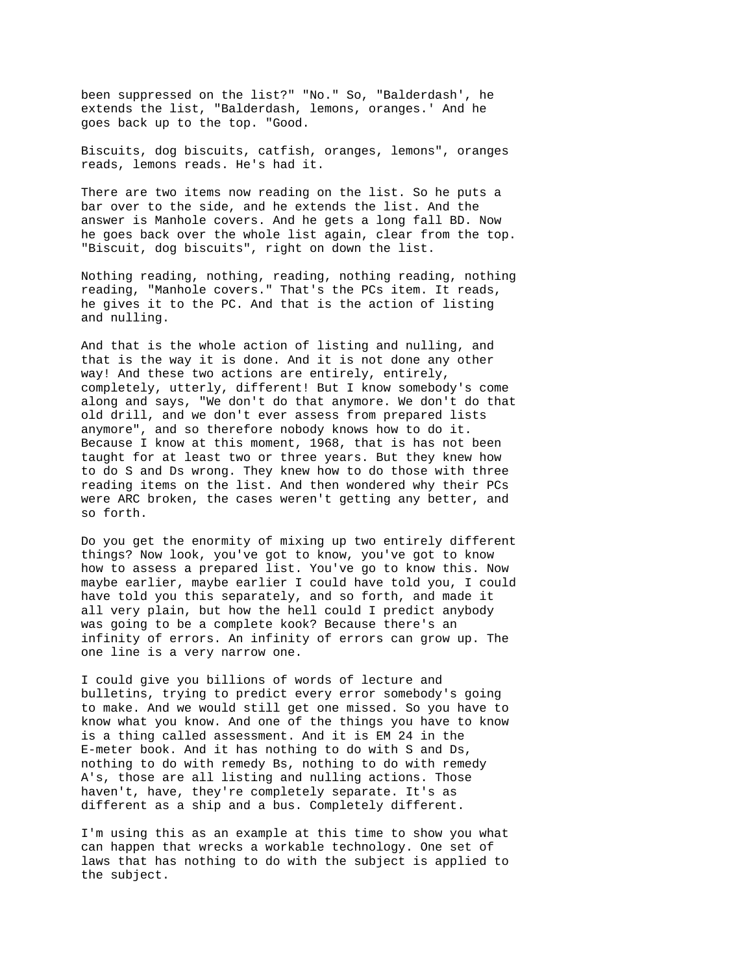been suppressed on the list?" "No." So, "Balderdash', he extends the list, "Balderdash, lemons, oranges.' And he goes back up to the top. "Good.

Biscuits, dog biscuits, catfish, oranges, lemons", oranges reads, lemons reads. He's had it.

There are two items now reading on the list. So he puts a bar over to the side, and he extends the list. And the answer is Manhole covers. And he gets a long fall BD. Now he goes back over the whole list again, clear from the top. "Biscuit, dog biscuits", right on down the list.

Nothing reading, nothing, reading, nothing reading, nothing reading, "Manhole covers." That's the PCs item. It reads, he gives it to the PC. And that is the action of listing and nulling.

And that is the whole action of listing and nulling, and that is the way it is done. And it is not done any other way! And these two actions are entirely, entirely, completely, utterly, different! But I know somebody's come along and says, "We don't do that anymore. We don't do that old drill, and we don't ever assess from prepared lists anymore", and so therefore nobody knows how to do it. Because I know at this moment, 1968, that is has not been taught for at least two or three years. But they knew how to do S and Ds wrong. They knew how to do those with three reading items on the list. And then wondered why their PCs were ARC broken, the cases weren't getting any better, and so forth.

Do you get the enormity of mixing up two entirely different things? Now look, you've got to know, you've got to know how to assess a prepared list. You've go to know this. Now maybe earlier, maybe earlier I could have told you, I could have told you this separately, and so forth, and made it all very plain, but how the hell could I predict anybody was going to be a complete kook? Because there's an infinity of errors. An infinity of errors can grow up. The one line is a very narrow one.

I could give you billions of words of lecture and bulletins, trying to predict every error somebody's going to make. And we would still get one missed. So you have to know what you know. And one of the things you have to know is a thing called assessment. And it is EM 24 in the E-meter book. And it has nothing to do with S and Ds, nothing to do with remedy Bs, nothing to do with remedy A's, those are all listing and nulling actions. Those haven't, have, they're completely separate. It's as different as a ship and a bus. Completely different.

I'm using this as an example at this time to show you what can happen that wrecks a workable technology. One set of laws that has nothing to do with the subject is applied to the subject.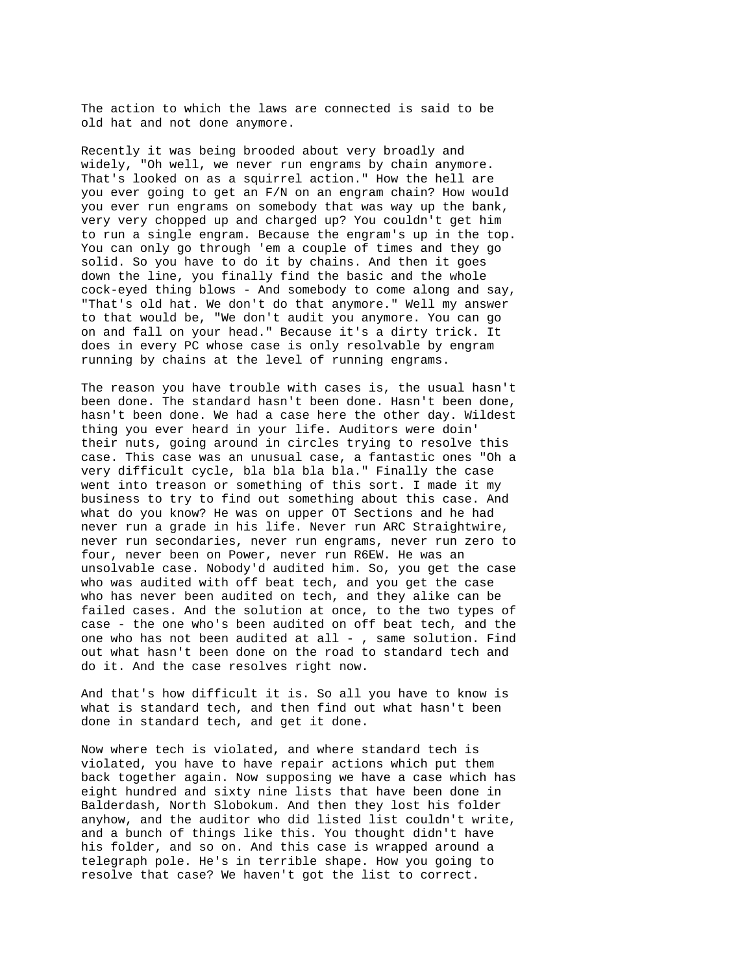The action to which the laws are connected is said to be old hat and not done anymore.

Recently it was being brooded about very broadly and widely, "Oh well, we never run engrams by chain anymore. That's looked on as a squirrel action." How the hell are you ever going to get an F/N on an engram chain? How would you ever run engrams on somebody that was way up the bank, very very chopped up and charged up? You couldn't get him to run a single engram. Because the engram's up in the top. You can only go through 'em a couple of times and they go solid. So you have to do it by chains. And then it goes down the line, you finally find the basic and the whole cock-eyed thing blows - And somebody to come along and say, "That's old hat. We don't do that anymore." Well my answer to that would be, "We don't audit you anymore. You can go on and fall on your head." Because it's a dirty trick. It does in every PC whose case is only resolvable by engram running by chains at the level of running engrams.

The reason you have trouble with cases is, the usual hasn't been done. The standard hasn't been done. Hasn't been done, hasn't been done. We had a case here the other day. Wildest thing you ever heard in your life. Auditors were doin' their nuts, going around in circles trying to resolve this case. This case was an unusual case, a fantastic ones "Oh a very difficult cycle, bla bla bla bla." Finally the case went into treason or something of this sort. I made it my business to try to find out something about this case. And what do you know? He was on upper OT Sections and he had never run a grade in his life. Never run ARC Straightwire, never run secondaries, never run engrams, never run zero to four, never been on Power, never run R6EW. He was an unsolvable case. Nobody'd audited him. So, you get the case who was audited with off beat tech, and you get the case who has never been audited on tech, and they alike can be failed cases. And the solution at once, to the two types of case - the one who's been audited on off beat tech, and the one who has not been audited at all  $-$  , same solution. Find out what hasn't been done on the road to standard tech and do it. And the case resolves right now.

And that's how difficult it is. So all you have to know is what is standard tech, and then find out what hasn't been done in standard tech, and get it done.

Now where tech is violated, and where standard tech is violated, you have to have repair actions which put them back together again. Now supposing we have a case which has eight hundred and sixty nine lists that have been done in Balderdash, North Slobokum. And then they lost his folder anyhow, and the auditor who did listed list couldn't write, and a bunch of things like this. You thought didn't have his folder, and so on. And this case is wrapped around a telegraph pole. He's in terrible shape. How you going to resolve that case? We haven't got the list to correct.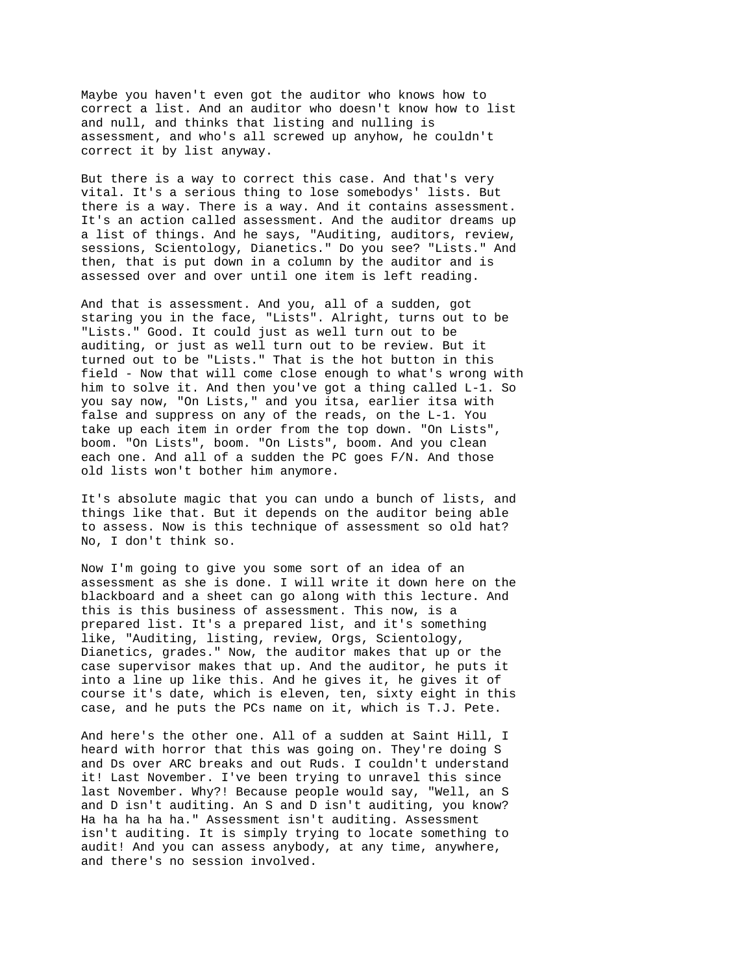Maybe you haven't even got the auditor who knows how to correct a list. And an auditor who doesn't know how to list and null, and thinks that listing and nulling is assessment, and who's all screwed up anyhow, he couldn't correct it by list anyway.

But there is a way to correct this case. And that's very vital. It's a serious thing to lose somebodys' lists. But there is a way. There is a way. And it contains assessment. It's an action called assessment. And the auditor dreams up a list of things. And he says, "Auditing, auditors, review, sessions, Scientology, Dianetics." Do you see? "Lists." And then, that is put down in a column by the auditor and is assessed over and over until one item is left reading.

And that is assessment. And you, all of a sudden, got staring you in the face, "Lists". Alright, turns out to be "Lists." Good. It could just as well turn out to be auditing, or just as well turn out to be review. But it turned out to be "Lists." That is the hot button in this field - Now that will come close enough to what's wrong with him to solve it. And then you've got a thing called L-1. So you say now, "On Lists," and you itsa, earlier itsa with false and suppress on any of the reads, on the L-1. You take up each item in order from the top down. "On Lists", boom. "On Lists", boom. "On Lists", boom. And you clean each one. And all of a sudden the PC goes F/N. And those old lists won't bother him anymore.

It's absolute magic that you can undo a bunch of lists, and things like that. But it depends on the auditor being able to assess. Now is this technique of assessment so old hat? No, I don't think so.

Now I'm going to give you some sort of an idea of an assessment as she is done. I will write it down here on the blackboard and a sheet can go along with this lecture. And this is this business of assessment. This now, is a prepared list. It's a prepared list, and it's something like, "Auditing, listing, review, Orgs, Scientology, Dianetics, grades." Now, the auditor makes that up or the case supervisor makes that up. And the auditor, he puts it into a line up like this. And he gives it, he gives it of course it's date, which is eleven, ten, sixty eight in this case, and he puts the PCs name on it, which is T.J. Pete.

And here's the other one. All of a sudden at Saint Hill, I heard with horror that this was going on. They're doing S and Ds over ARC breaks and out Ruds. I couldn't understand it! Last November. I've been trying to unravel this since last November. Why?! Because people would say, "Well, an S and D isn't auditing. An S and D isn't auditing, you know? Ha ha ha ha ha." Assessment isn't auditing. Assessment isn't auditing. It is simply trying to locate something to audit! And you can assess anybody, at any time, anywhere, and there's no session involved.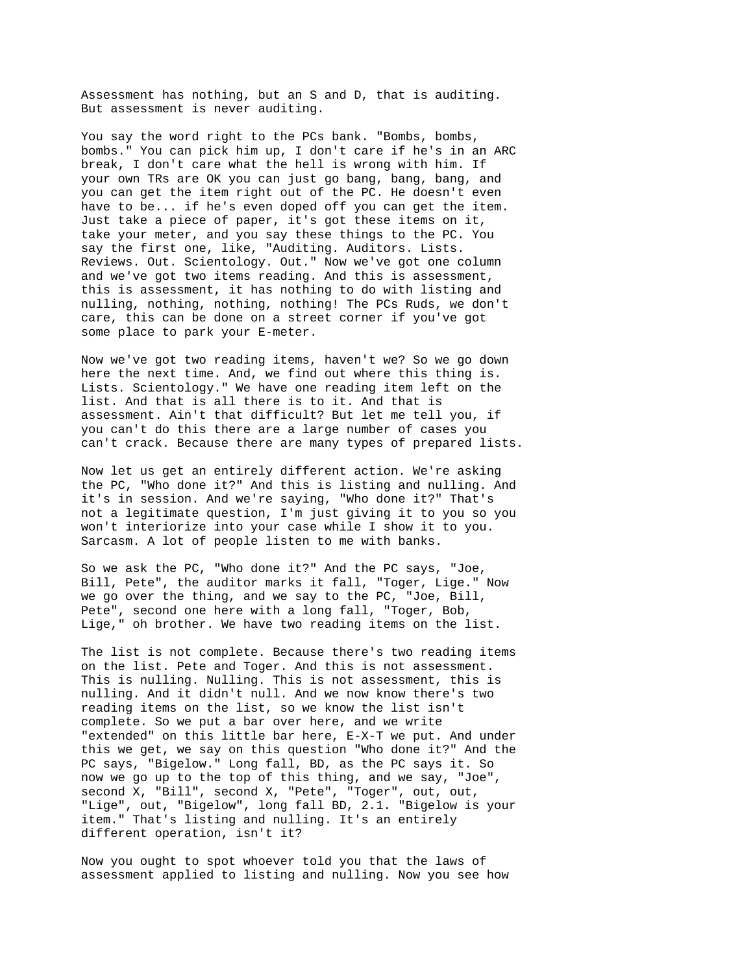Assessment has nothing, but an S and D, that is auditing. But assessment is never auditing.

You say the word right to the PCs bank. "Bombs, bombs, bombs." You can pick him up, I don't care if he's in an ARC break, I don't care what the hell is wrong with him. If your own TRs are OK you can just go bang, bang, bang, and you can get the item right out of the PC. He doesn't even have to be... if he's even doped off you can get the item. Just take a piece of paper, it's got these items on it, take your meter, and you say these things to the PC. You say the first one, like, "Auditing. Auditors. Lists. Reviews. Out. Scientology. Out." Now we've got one column and we've got two items reading. And this is assessment, this is assessment, it has nothing to do with listing and nulling, nothing, nothing, nothing! The PCs Ruds, we don't care, this can be done on a street corner if you've got some place to park your E-meter.

Now we've got two reading items, haven't we? So we go down here the next time. And, we find out where this thing is. Lists. Scientology." We have one reading item left on the list. And that is all there is to it. And that is assessment. Ain't that difficult? But let me tell you, if you can't do this there are a large number of cases you can't crack. Because there are many types of prepared lists.

Now let us get an entirely different action. We're asking the PC, "Who done it?" And this is listing and nulling. And it's in session. And we're saying, "Who done it?" That's not a legitimate question, I'm just giving it to you so you won't interiorize into your case while I show it to you. Sarcasm. A lot of people listen to me with banks.

So we ask the PC, "Who done it?" And the PC says, "Joe, Bill, Pete", the auditor marks it fall, "Toger, Lige." Now we go over the thing, and we say to the PC, "Joe, Bill, Pete", second one here with a long fall, "Toger, Bob, Lige," oh brother. We have two reading items on the list.

The list is not complete. Because there's two reading items on the list. Pete and Toger. And this is not assessment. This is nulling. Nulling. This is not assessment, this is nulling. And it didn't null. And we now know there's two reading items on the list, so we know the list isn't complete. So we put a bar over here, and we write "extended" on this little bar here, E-X-T we put. And under this we get, we say on this question "Who done it?" And the PC says, "Bigelow." Long fall, BD, as the PC says it. So now we go up to the top of this thing, and we say, "Joe", second X, "Bill", second X, "Pete", "Toger", out, out, "Lige", out, "Bigelow", long fall BD, 2.1. "Bigelow is your item." That's listing and nulling. It's an entirely different operation, isn't it?

Now you ought to spot whoever told you that the laws of assessment applied to listing and nulling. Now you see how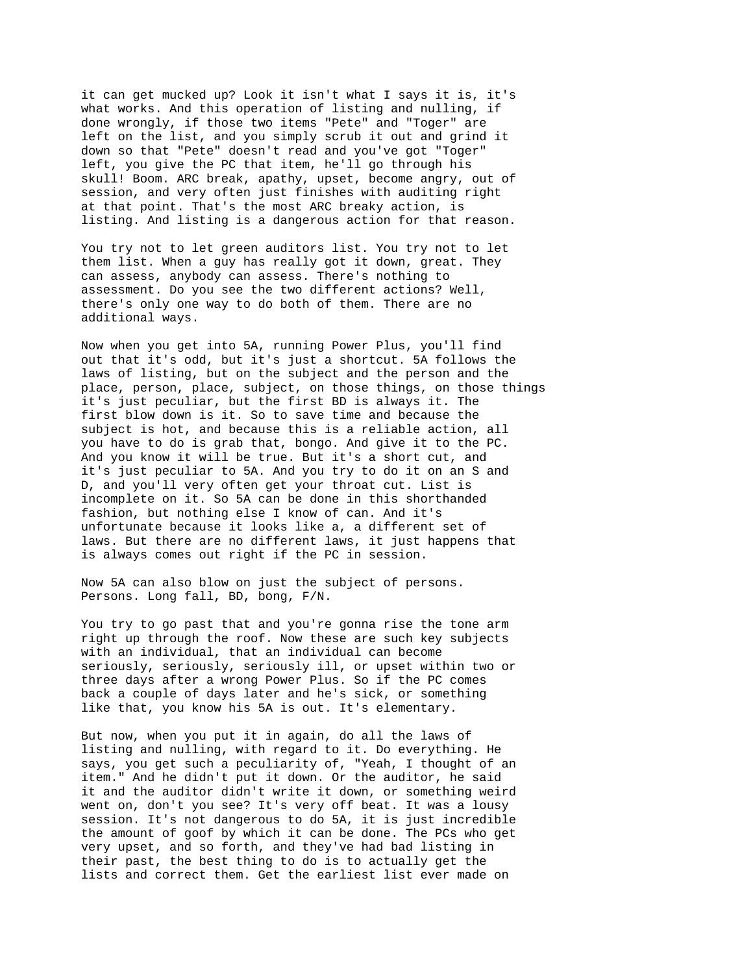it can get mucked up? Look it isn't what I says it is, it's what works. And this operation of listing and nulling, if done wrongly, if those two items "Pete" and "Toger" are left on the list, and you simply scrub it out and grind it down so that "Pete" doesn't read and you've got "Toger" left, you give the PC that item, he'll go through his skull! Boom. ARC break, apathy, upset, become angry, out of session, and very often just finishes with auditing right at that point. That's the most ARC breaky action, is listing. And listing is a dangerous action for that reason.

You try not to let green auditors list. You try not to let them list. When a guy has really got it down, great. They can assess, anybody can assess. There's nothing to assessment. Do you see the two different actions? Well, there's only one way to do both of them. There are no additional ways.

Now when you get into 5A, running Power Plus, you'll find out that it's odd, but it's just a shortcut. 5A follows the laws of listing, but on the subject and the person and the place, person, place, subject, on those things, on those things it's just peculiar, but the first BD is always it. The first blow down is it. So to save time and because the subject is hot, and because this is a reliable action, all you have to do is grab that, bongo. And give it to the PC. And you know it will be true. But it's a short cut, and it's just peculiar to 5A. And you try to do it on an S and D, and you'll very often get your throat cut. List is incomplete on it. So 5A can be done in this shorthanded fashion, but nothing else I know of can. And it's unfortunate because it looks like a, a different set of laws. But there are no different laws, it just happens that is always comes out right if the PC in session.

Now 5A can also blow on just the subject of persons. Persons. Long fall, BD, bong, F/N.

You try to go past that and you're gonna rise the tone arm right up through the roof. Now these are such key subjects with an individual, that an individual can become seriously, seriously, seriously ill, or upset within two or three days after a wrong Power Plus. So if the PC comes back a couple of days later and he's sick, or something like that, you know his 5A is out. It's elementary.

But now, when you put it in again, do all the laws of listing and nulling, with regard to it. Do everything. He says, you get such a peculiarity of, "Yeah, I thought of an item." And he didn't put it down. Or the auditor, he said it and the auditor didn't write it down, or something weird went on, don't you see? It's very off beat. It was a lousy session. It's not dangerous to do 5A, it is just incredible the amount of goof by which it can be done. The PCs who get very upset, and so forth, and they've had bad listing in their past, the best thing to do is to actually get the lists and correct them. Get the earliest list ever made on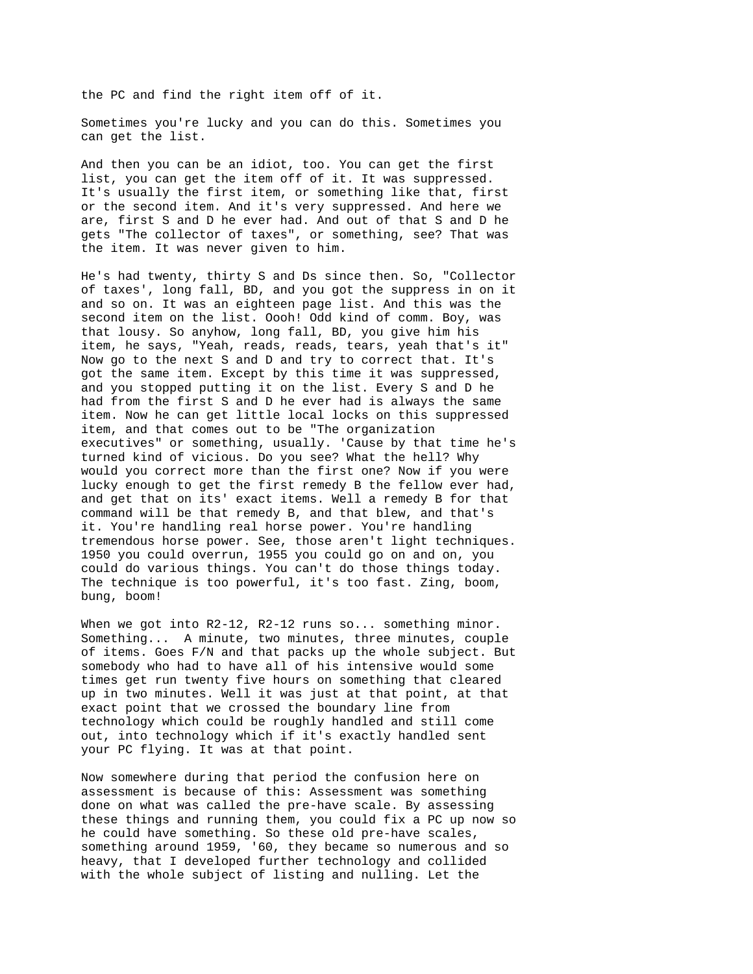the PC and find the right item off of it.

Sometimes you're lucky and you can do this. Sometimes you can get the list.

And then you can be an idiot, too. You can get the first list, you can get the item off of it. It was suppressed. It's usually the first item, or something like that, first or the second item. And it's very suppressed. And here we are, first S and D he ever had. And out of that S and D he gets "The collector of taxes", or something, see? That was the item. It was never given to him.

He's had twenty, thirty S and Ds since then. So, "Collector of taxes', long fall, BD, and you got the suppress in on it and so on. It was an eighteen page list. And this was the second item on the list. Oooh! Odd kind of comm. Boy, was that lousy. So anyhow, long fall, BD, you give him his item, he says, "Yeah, reads, reads, tears, yeah that's it" Now go to the next S and D and try to correct that. It's got the same item. Except by this time it was suppressed, and you stopped putting it on the list. Every S and D he had from the first S and D he ever had is always the same item. Now he can get little local locks on this suppressed item, and that comes out to be "The organization executives" or something, usually. 'Cause by that time he's turned kind of vicious. Do you see? What the hell? Why would you correct more than the first one? Now if you were lucky enough to get the first remedy B the fellow ever had, and get that on its' exact items. Well a remedy B for that command will be that remedy B, and that blew, and that's it. You're handling real horse power. You're handling tremendous horse power. See, those aren't light techniques. 1950 you could overrun, 1955 you could go on and on, you could do various things. You can't do those things today. The technique is too powerful, it's too fast. Zing, boom, bung, boom!

When we got into R2-12, R2-12 runs so... something minor. Something... A minute, two minutes, three minutes, couple of items. Goes F/N and that packs up the whole subject. But somebody who had to have all of his intensive would some times get run twenty five hours on something that cleared up in two minutes. Well it was just at that point, at that exact point that we crossed the boundary line from technology which could be roughly handled and still come out, into technology which if it's exactly handled sent your PC flying. It was at that point.

Now somewhere during that period the confusion here on assessment is because of this: Assessment was something done on what was called the pre-have scale. By assessing these things and running them, you could fix a PC up now so he could have something. So these old pre-have scales, something around 1959, '60, they became so numerous and so heavy, that I developed further technology and collided with the whole subject of listing and nulling. Let the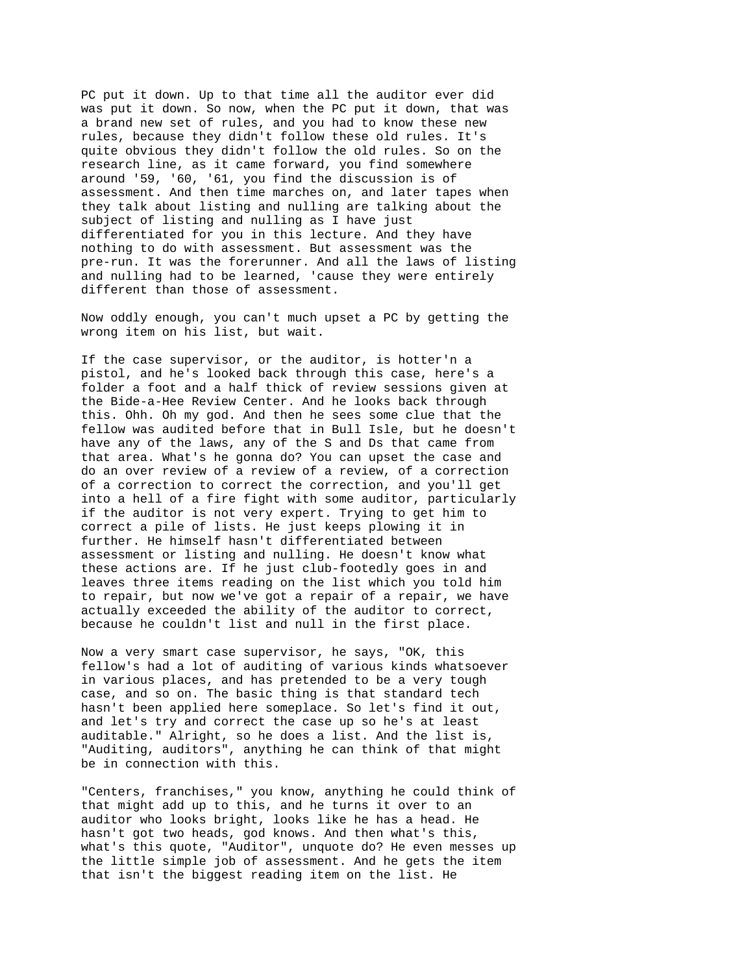PC put it down. Up to that time all the auditor ever did was put it down. So now, when the PC put it down, that was a brand new set of rules, and you had to know these new rules, because they didn't follow these old rules. It's quite obvious they didn't follow the old rules. So on the research line, as it came forward, you find somewhere around '59, '60, '61, you find the discussion is of assessment. And then time marches on, and later tapes when they talk about listing and nulling are talking about the subject of listing and nulling as I have just differentiated for you in this lecture. And they have nothing to do with assessment. But assessment was the pre-run. It was the forerunner. And all the laws of listing and nulling had to be learned, 'cause they were entirely different than those of assessment.

Now oddly enough, you can't much upset a PC by getting the wrong item on his list, but wait.

If the case supervisor, or the auditor, is hotter'n a pistol, and he's looked back through this case, here's a folder a foot and a half thick of review sessions given at the Bide-a-Hee Review Center. And he looks back through this. Ohh. Oh my god. And then he sees some clue that the fellow was audited before that in Bull Isle, but he doesn't have any of the laws, any of the S and Ds that came from that area. What's he gonna do? You can upset the case and do an over review of a review of a review, of a correction of a correction to correct the correction, and you'll get into a hell of a fire fight with some auditor, particularly if the auditor is not very expert. Trying to get him to correct a pile of lists. He just keeps plowing it in further. He himself hasn't differentiated between assessment or listing and nulling. He doesn't know what these actions are. If he just club-footedly goes in and leaves three items reading on the list which you told him to repair, but now we've got a repair of a repair, we have actually exceeded the ability of the auditor to correct, because he couldn't list and null in the first place.

Now a very smart case supervisor, he says, "OK, this fellow's had a lot of auditing of various kinds whatsoever in various places, and has pretended to be a very tough case, and so on. The basic thing is that standard tech hasn't been applied here someplace. So let's find it out, and let's try and correct the case up so he's at least auditable." Alright, so he does a list. And the list is, "Auditing, auditors", anything he can think of that might be in connection with this.

"Centers, franchises," you know, anything he could think of that might add up to this, and he turns it over to an auditor who looks bright, looks like he has a head. He hasn't got two heads, god knows. And then what's this, what's this quote, "Auditor", unquote do? He even messes up the little simple job of assessment. And he gets the item that isn't the biggest reading item on the list. He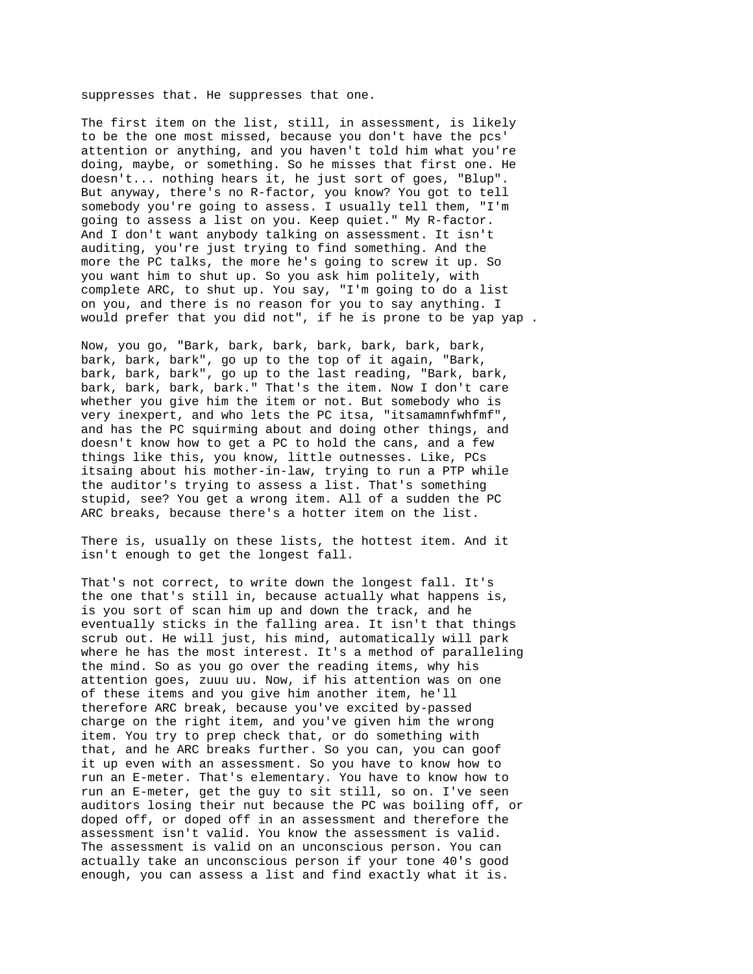suppresses that. He suppresses that one.

The first item on the list, still, in assessment, is likely to be the one most missed, because you don't have the pcs' attention or anything, and you haven't told him what you're doing, maybe, or something. So he misses that first one. He doesn't... nothing hears it, he just sort of goes, "Blup". But anyway, there's no R-factor, you know? You got to tell somebody you're going to assess. I usually tell them, "I'm going to assess a list on you. Keep quiet." My R-factor. And I don't want anybody talking on assessment. It isn't auditing, you're just trying to find something. And the more the PC talks, the more he's going to screw it up. So you want him to shut up. So you ask him politely, with complete ARC, to shut up. You say, "I'm going to do a list on you, and there is no reason for you to say anything. I would prefer that you did not", if he is prone to be yap yap .

Now, you go, "Bark, bark, bark, bark, bark, bark, bark, bark, bark, bark", go up to the top of it again, "Bark, bark, bark, bark", go up to the last reading, "Bark, bark, bark, bark, bark, bark." That's the item. Now I don't care whether you give him the item or not. But somebody who is very inexpert, and who lets the PC itsa, "itsamamnfwhfmf", and has the PC squirming about and doing other things, and doesn't know how to get a PC to hold the cans, and a few things like this, you know, little outnesses. Like, PCs itsaing about his mother-in-law, trying to run a PTP while the auditor's trying to assess a list. That's something stupid, see? You get a wrong item. All of a sudden the PC ARC breaks, because there's a hotter item on the list.

There is, usually on these lists, the hottest item. And it isn't enough to get the longest fall.

That's not correct, to write down the longest fall. It's the one that's still in, because actually what happens is, is you sort of scan him up and down the track, and he eventually sticks in the falling area. It isn't that things scrub out. He will just, his mind, automatically will park where he has the most interest. It's a method of paralleling the mind. So as you go over the reading items, why his attention goes, zuuu uu. Now, if his attention was on one of these items and you give him another item, he'll therefore ARC break, because you've excited by-passed charge on the right item, and you've given him the wrong item. You try to prep check that, or do something with that, and he ARC breaks further. So you can, you can goof it up even with an assessment. So you have to know how to run an E-meter. That's elementary. You have to know how to run an E-meter, get the guy to sit still, so on. I've seen auditors losing their nut because the PC was boiling off, or doped off, or doped off in an assessment and therefore the assessment isn't valid. You know the assessment is valid. The assessment is valid on an unconscious person. You can actually take an unconscious person if your tone 40's good enough, you can assess a list and find exactly what it is.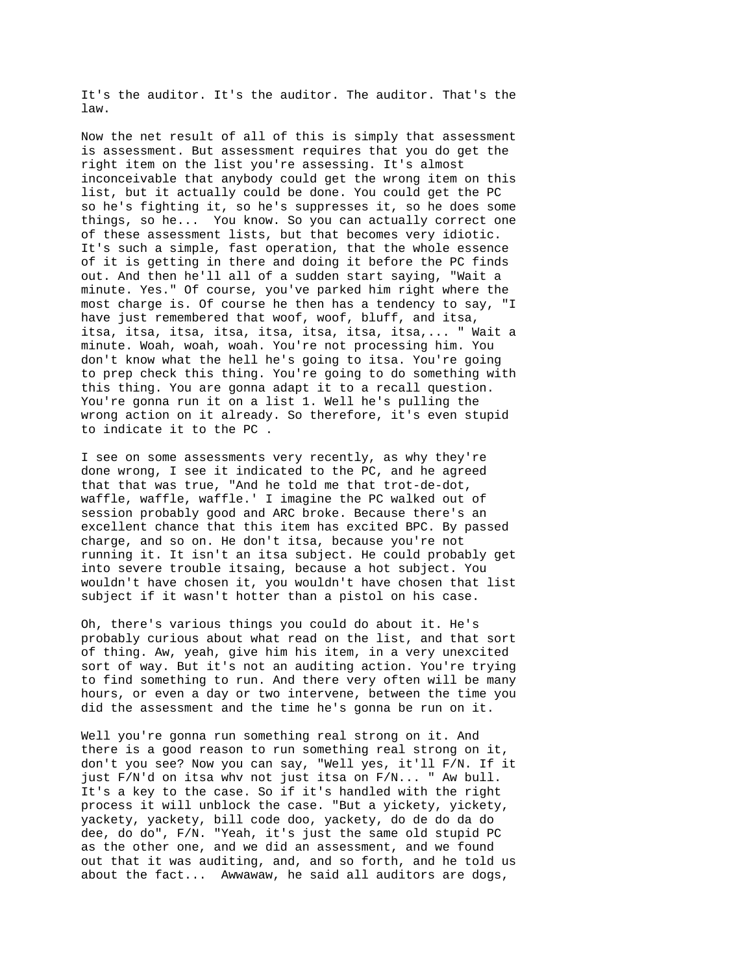It's the auditor. It's the auditor. The auditor. That's the law.

Now the net result of all of this is simply that assessment is assessment. But assessment requires that you do get the right item on the list you're assessing. It's almost inconceivable that anybody could get the wrong item on this list, but it actually could be done. You could get the PC so he's fighting it, so he's suppresses it, so he does some things, so he... You know. So you can actually correct one of these assessment lists, but that becomes very idiotic. It's such a simple, fast operation, that the whole essence of it is getting in there and doing it before the PC finds out. And then he'll all of a sudden start saying, "Wait a minute. Yes." Of course, you've parked him right where the most charge is. Of course he then has a tendency to say, "I have just remembered that woof, woof, bluff, and itsa, itsa, itsa, itsa, itsa, itsa, itsa, itsa, itsa,... " Wait a minute. Woah, woah, woah. You're not processing him. You don't know what the hell he's going to itsa. You're going to prep check this thing. You're going to do something with this thing. You are gonna adapt it to a recall question. You're gonna run it on a list 1. Well he's pulling the wrong action on it already. So therefore, it's even stupid to indicate it to the PC .

I see on some assessments very recently, as why they're done wrong, I see it indicated to the PC, and he agreed that that was true, "And he told me that trot-de-dot, waffle, waffle, waffle.' I imagine the PC walked out of session probably good and ARC broke. Because there's an excellent chance that this item has excited BPC. By passed charge, and so on. He don't itsa, because you're not running it. It isn't an itsa subject. He could probably get into severe trouble itsaing, because a hot subject. You wouldn't have chosen it, you wouldn't have chosen that list subject if it wasn't hotter than a pistol on his case.

Oh, there's various things you could do about it. He's probably curious about what read on the list, and that sort of thing. Aw, yeah, give him his item, in a very unexcited sort of way. But it's not an auditing action. You're trying to find something to run. And there very often will be many hours, or even a day or two intervene, between the time you did the assessment and the time he's gonna be run on it.

Well you're gonna run something real strong on it. And there is a good reason to run something real strong on it, don't you see? Now you can say, "Well yes, it'll F/N. If it just F/N'd on itsa whv not just itsa on F/N... " Aw bull. It's a key to the case. So if it's handled with the right process it will unblock the case. "But a yickety, yickety, yackety, yackety, bill code doo, yackety, do de do da do dee, do do", F/N. "Yeah, it's just the same old stupid PC as the other one, and we did an assessment, and we found out that it was auditing, and, and so forth, and he told us about the fact... Awwawaw, he said all auditors are dogs,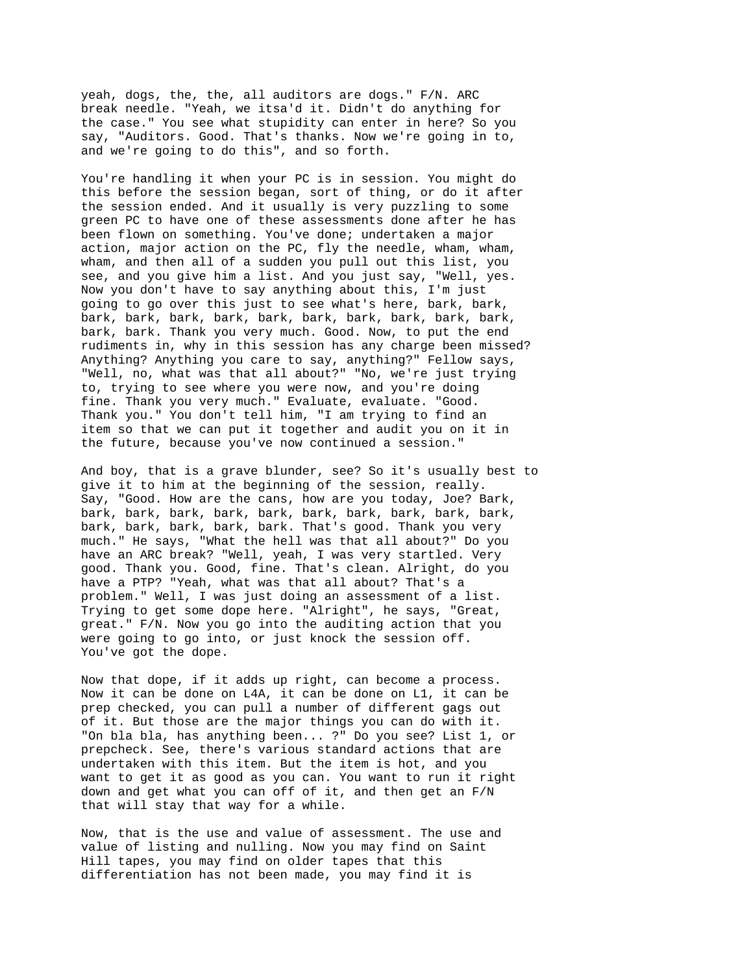yeah, dogs, the, the, all auditors are dogs." F/N. ARC break needle. "Yeah, we itsa'd it. Didn't do anything for the case." You see what stupidity can enter in here? So you say, "Auditors. Good. That's thanks. Now we're going in to, and we're going to do this", and so forth.

You're handling it when your PC is in session. You might do this before the session began, sort of thing, or do it after the session ended. And it usually is very puzzling to some green PC to have one of these assessments done after he has been flown on something. You've done; undertaken a major action, major action on the PC, fly the needle, wham, wham, wham, and then all of a sudden you pull out this list, you see, and you give him a list. And you just say, "Well, yes. Now you don't have to say anything about this, I'm just going to go over this just to see what's here, bark, bark, bark, bark, bark, bark, bark, bark, bark, bark, bark, bark, bark, bark. Thank you very much. Good. Now, to put the end rudiments in, why in this session has any charge been missed? Anything? Anything you care to say, anything?" Fellow says, "Well, no, what was that all about?" "No, we're just trying to, trying to see where you were now, and you're doing fine. Thank you very much." Evaluate, evaluate. "Good. Thank you." You don't tell him, "I am trying to find an item so that we can put it together and audit you on it in the future, because you've now continued a session."

And boy, that is a grave blunder, see? So it's usually best to give it to him at the beginning of the session, really. Say, "Good. How are the cans, how are you today, Joe? Bark, bark, bark, bark, bark, bark, bark, bark, bark, bark, bark, bark, bark, bark, bark, bark. That's good. Thank you very much." He says, "What the hell was that all about?" Do you have an ARC break? "Well, yeah, I was very startled. Very good. Thank you. Good, fine. That's clean. Alright, do you have a PTP? "Yeah, what was that all about? That's a problem." Well, I was just doing an assessment of a list. Trying to get some dope here. "Alright", he says, "Great, great." F/N. Now you go into the auditing action that you were going to go into, or just knock the session off. You've got the dope.

Now that dope, if it adds up right, can become a process. Now it can be done on L4A, it can be done on L1, it can be prep checked, you can pull a number of different gags out of it. But those are the major things you can do with it. "On bla bla, has anything been... ?" Do you see? List 1, or prepcheck. See, there's various standard actions that are undertaken with this item. But the item is hot, and you want to get it as good as you can. You want to run it right down and get what you can off of it, and then get an F/N that will stay that way for a while.

Now, that is the use and value of assessment. The use and value of listing and nulling. Now you may find on Saint Hill tapes, you may find on older tapes that this differentiation has not been made, you may find it is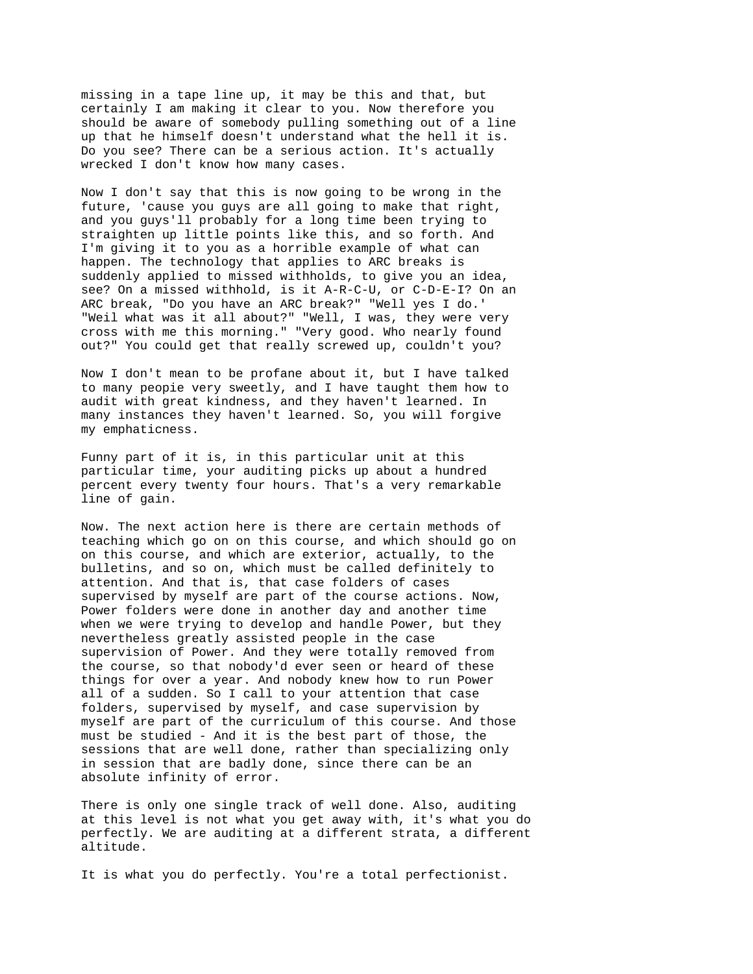missing in a tape line up, it may be this and that, but certainly I am making it clear to you. Now therefore you should be aware of somebody pulling something out of a line up that he himself doesn't understand what the hell it is. Do you see? There can be a serious action. It's actually wrecked I don't know how many cases.

Now I don't say that this is now going to be wrong in the future, 'cause you guys are all going to make that right, and you guys'll probably for a long time been trying to straighten up little points like this, and so forth. And I'm giving it to you as a horrible example of what can happen. The technology that applies to ARC breaks is suddenly applied to missed withholds, to give you an idea, see? On a missed withhold, is it A-R-C-U, or C-D-E-I? On an ARC break, "Do you have an ARC break?" "Well yes I do.' "Weil what was it all about?" "Well, I was, they were very cross with me this morning." "Very good. Who nearly found out?" You could get that really screwed up, couldn't you?

Now I don't mean to be profane about it, but I have talked to many peopie very sweetly, and I have taught them how to audit with great kindness, and they haven't learned. In many instances they haven't learned. So, you will forgive my emphaticness.

Funny part of it is, in this particular unit at this particular time, your auditing picks up about a hundred percent every twenty four hours. That's a very remarkable line of gain.

Now. The next action here is there are certain methods of teaching which go on on this course, and which should go on on this course, and which are exterior, actually, to the bulletins, and so on, which must be called definitely to attention. And that is, that case folders of cases supervised by myself are part of the course actions. Now, Power folders were done in another day and another time when we were trying to develop and handle Power, but they nevertheless greatly assisted people in the case supervision of Power. And they were totally removed from the course, so that nobody'd ever seen or heard of these things for over a year. And nobody knew how to run Power all of a sudden. So I call to your attention that case folders, supervised by myself, and case supervision by myself are part of the curriculum of this course. And those must be studied - And it is the best part of those, the sessions that are well done, rather than specializing only in session that are badly done, since there can be an absolute infinity of error.

There is only one single track of well done. Also, auditing at this level is not what you get away with, it's what you do perfectly. We are auditing at a different strata, a different altitude.

It is what you do perfectly. You're a total perfectionist.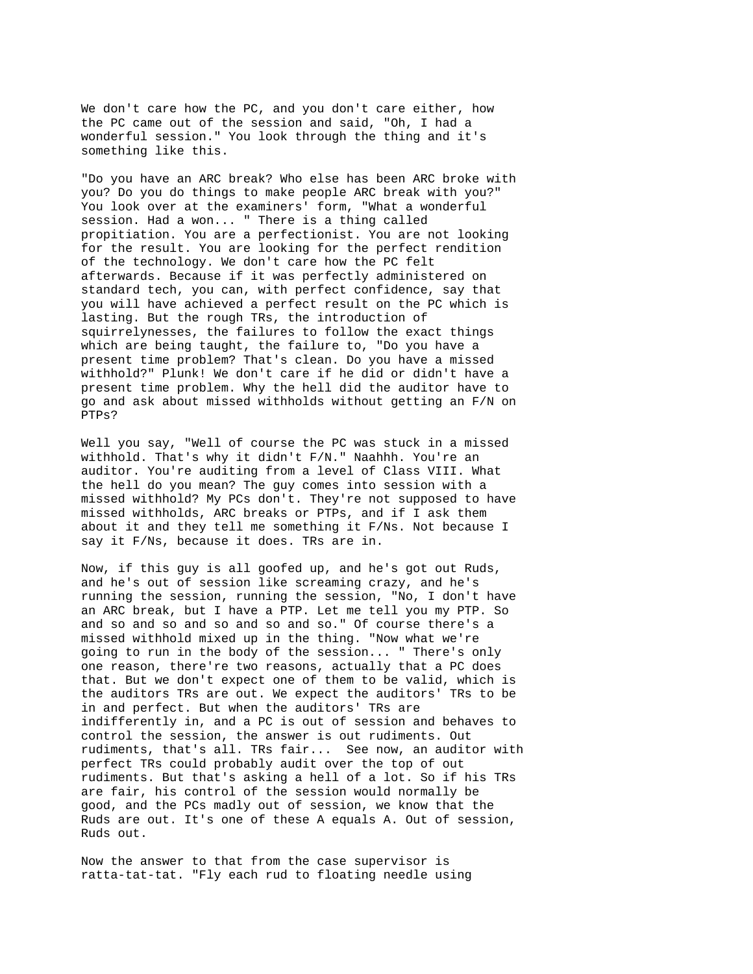We don't care how the PC, and you don't care either, how the PC came out of the session and said, "Oh, I had a wonderful session." You look through the thing and it's something like this.

"Do you have an ARC break? Who else has been ARC broke with you? Do you do things to make people ARC break with you?" You look over at the examiners' form, "What a wonderful session. Had a won... " There is a thing called propitiation. You are a perfectionist. You are not looking for the result. You are looking for the perfect rendition of the technology. We don't care how the PC felt afterwards. Because if it was perfectly administered on standard tech, you can, with perfect confidence, say that you will have achieved a perfect result on the PC which is lasting. But the rough TRs, the introduction of squirrelynesses, the failures to follow the exact things which are being taught, the failure to, "Do you have a present time problem? That's clean. Do you have a missed withhold?" Plunk! We don't care if he did or didn't have a present time problem. Why the hell did the auditor have to go and ask about missed withholds without getting an F/N on PTPs?

Well you say, "Well of course the PC was stuck in a missed withhold. That's why it didn't F/N." Naahhh. You're an auditor. You're auditing from a level of Class VIII. What the hell do you mean? The guy comes into session with a missed withhold? My PCs don't. They're not supposed to have missed withholds, ARC breaks or PTPs, and if I ask them about it and they tell me something it F/Ns. Not because I say it F/Ns, because it does. TRs are in.

Now, if this guy is all goofed up, and he's got out Ruds, and he's out of session like screaming crazy, and he's running the session, running the session, "No, I don't have an ARC break, but I have a PTP. Let me tell you my PTP. So and so and so and so and so and so." Of course there's a missed withhold mixed up in the thing. "Now what we're going to run in the body of the session... " There's only one reason, there're two reasons, actually that a PC does that. But we don't expect one of them to be valid, which is the auditors TRs are out. We expect the auditors' TRs to be in and perfect. But when the auditors' TRs are indifferently in, and a PC is out of session and behaves to control the session, the answer is out rudiments. Out rudiments, that's all. TRs fair... See now, an auditor with perfect TRs could probably audit over the top of out rudiments. But that's asking a hell of a lot. So if his TRs are fair, his control of the session would normally be good, and the PCs madly out of session, we know that the Ruds are out. It's one of these A equals A. Out of session, Ruds out.

Now the answer to that from the case supervisor is ratta-tat-tat. "Fly each rud to floating needle using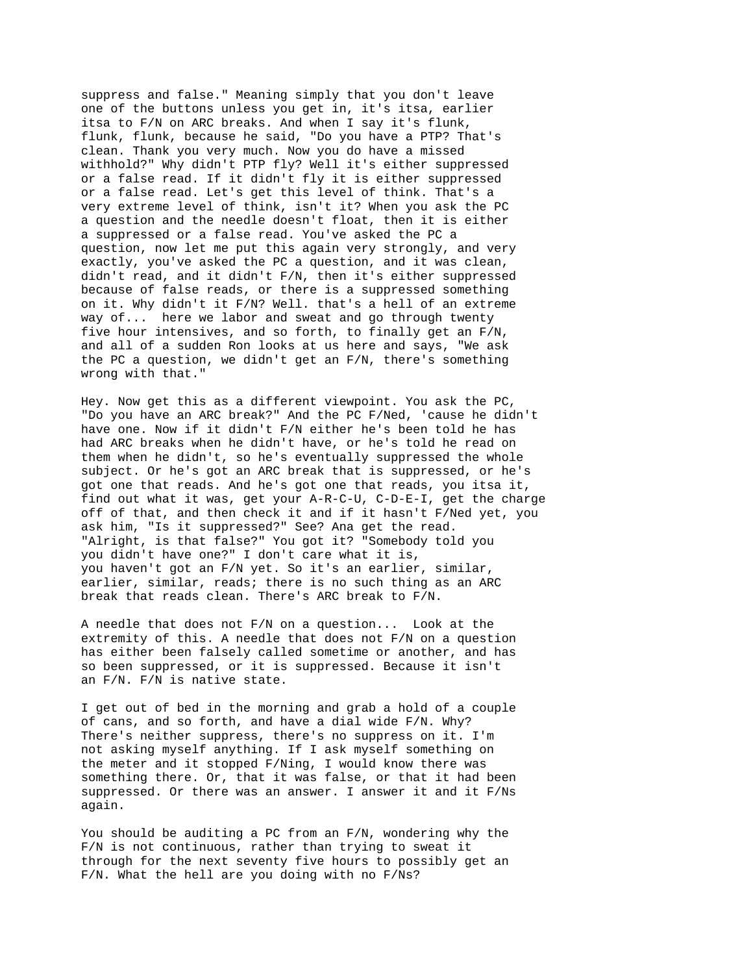suppress and false." Meaning simply that you don't leave one of the buttons unless you get in, it's itsa, earlier itsa to F/N on ARC breaks. And when I say it's flunk, flunk, flunk, because he said, "Do you have a PTP? That's clean. Thank you very much. Now you do have a missed withhold?" Why didn't PTP fly? Well it's either suppressed or a false read. If it didn't fly it is either suppressed or a false read. Let's get this level of think. That's a very extreme level of think, isn't it? When you ask the PC a question and the needle doesn't float, then it is either a suppressed or a false read. You've asked the PC a question, now let me put this again very strongly, and very exactly, you've asked the PC a question, and it was clean, didn't read, and it didn't F/N, then it's either suppressed because of false reads, or there is a suppressed something on it. Why didn't it F/N? Well. that's a hell of an extreme way of... here we labor and sweat and go through twenty five hour intensives, and so forth, to finally get an F/N, and all of a sudden Ron looks at us here and says, "We ask the PC a question, we didn't get an F/N, there's something wrong with that."

Hey. Now get this as a different viewpoint. You ask the PC, "Do you have an ARC break?" And the PC F/Ned, 'cause he didn't have one. Now if it didn't F/N either he's been told he has had ARC breaks when he didn't have, or he's told he read on them when he didn't, so he's eventually suppressed the whole subject. Or he's got an ARC break that is suppressed, or he's got one that reads. And he's got one that reads, you itsa it, find out what it was, get your A-R-C-U, C-D-E-I, get the charge off of that, and then check it and if it hasn't F/Ned yet, you ask him, "Is it suppressed?" See? Ana get the read. "Alright, is that false?" You got it? "Somebody told you you didn't have one?" I don't care what it is, you haven't got an F/N yet. So it's an earlier, similar, earlier, similar, reads; there is no such thing as an ARC break that reads clean. There's ARC break to F/N.

A needle that does not F/N on a question... Look at the extremity of this. A needle that does not F/N on a question has either been falsely called sometime or another, and has so been suppressed, or it is suppressed. Because it isn't an F/N. F/N is native state.

I get out of bed in the morning and grab a hold of a couple of cans, and so forth, and have a dial wide F/N. Why? There's neither suppress, there's no suppress on it. I'm not asking myself anything. If I ask myself something on the meter and it stopped F/Ning, I would know there was something there. Or, that it was false, or that it had been suppressed. Or there was an answer. I answer it and it F/Ns again.

You should be auditing a PC from an F/N, wondering why the F/N is not continuous, rather than trying to sweat it through for the next seventy five hours to possibly get an F/N. What the hell are you doing with no F/Ns?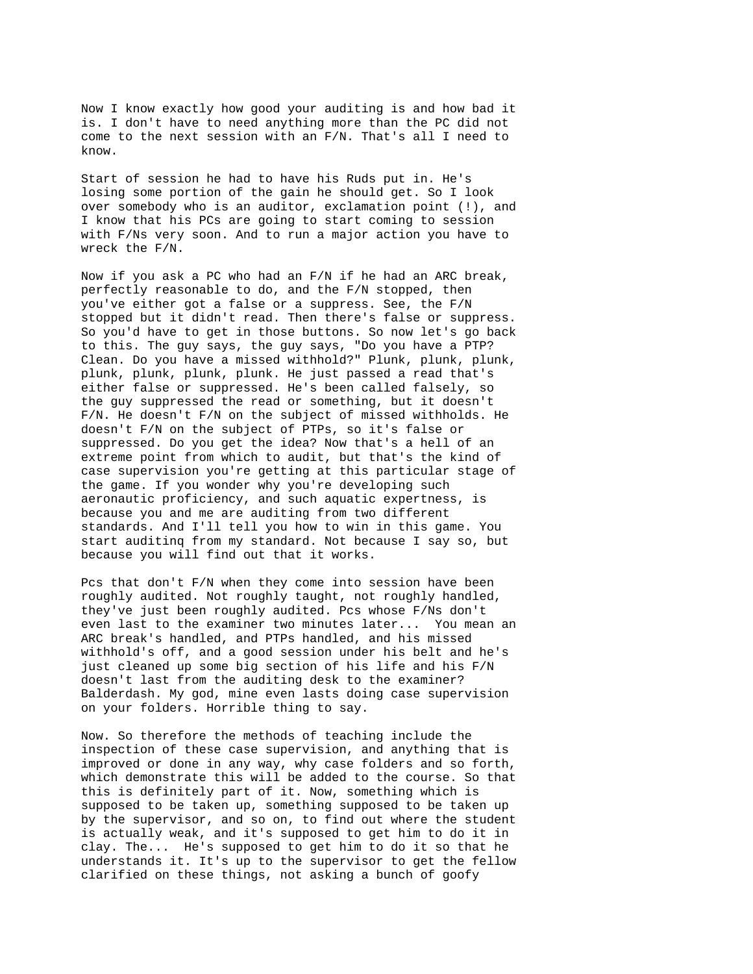Now I know exactly how good your auditing is and how bad it is. I don't have to need anything more than the PC did not come to the next session with an F/N. That's all I need to know.

Start of session he had to have his Ruds put in. He's losing some portion of the gain he should get. So I look over somebody who is an auditor, exclamation point (!), and I know that his PCs are going to start coming to session with F/Ns very soon. And to run a major action you have to wreck the F/N.

Now if you ask a PC who had an F/N if he had an ARC break, perfectly reasonable to do, and the F/N stopped, then you've either got a false or a suppress. See, the F/N stopped but it didn't read. Then there's false or suppress. So you'd have to get in those buttons. So now let's go back to this. The guy says, the guy says, "Do you have a PTP? Clean. Do you have a missed withhold?" Plunk, plunk, plunk, plunk, plunk, plunk, plunk. He just passed a read that's either false or suppressed. He's been called falsely, so the guy suppressed the read or something, but it doesn't F/N. He doesn't F/N on the subject of missed withholds. He doesn't F/N on the subject of PTPs, so it's false or suppressed. Do you get the idea? Now that's a hell of an extreme point from which to audit, but that's the kind of case supervision you're getting at this particular stage of the game. If you wonder why you're developing such aeronautic proficiency, and such aquatic expertness, is because you and me are auditing from two different standards. And I'll tell you how to win in this game. You start auditinq from my standard. Not because I say so, but because you will find out that it works.

Pcs that don't F/N when they come into session have been roughly audited. Not roughly taught, not roughly handled, they've just been roughly audited. Pcs whose F/Ns don't even last to the examiner two minutes later... You mean an ARC break's handled, and PTPs handled, and his missed withhold's off, and a good session under his belt and he's just cleaned up some big section of his life and his F/N doesn't last from the auditing desk to the examiner? Balderdash. My god, mine even lasts doing case supervision on your folders. Horrible thing to say.

Now. So therefore the methods of teaching include the inspection of these case supervision, and anything that is improved or done in any way, why case folders and so forth, which demonstrate this will be added to the course. So that this is definitely part of it. Now, something which is supposed to be taken up, something supposed to be taken up by the supervisor, and so on, to find out where the student is actually weak, and it's supposed to get him to do it in clay. The... He's supposed to get him to do it so that he understands it. It's up to the supervisor to get the fellow clarified on these things, not asking a bunch of goofy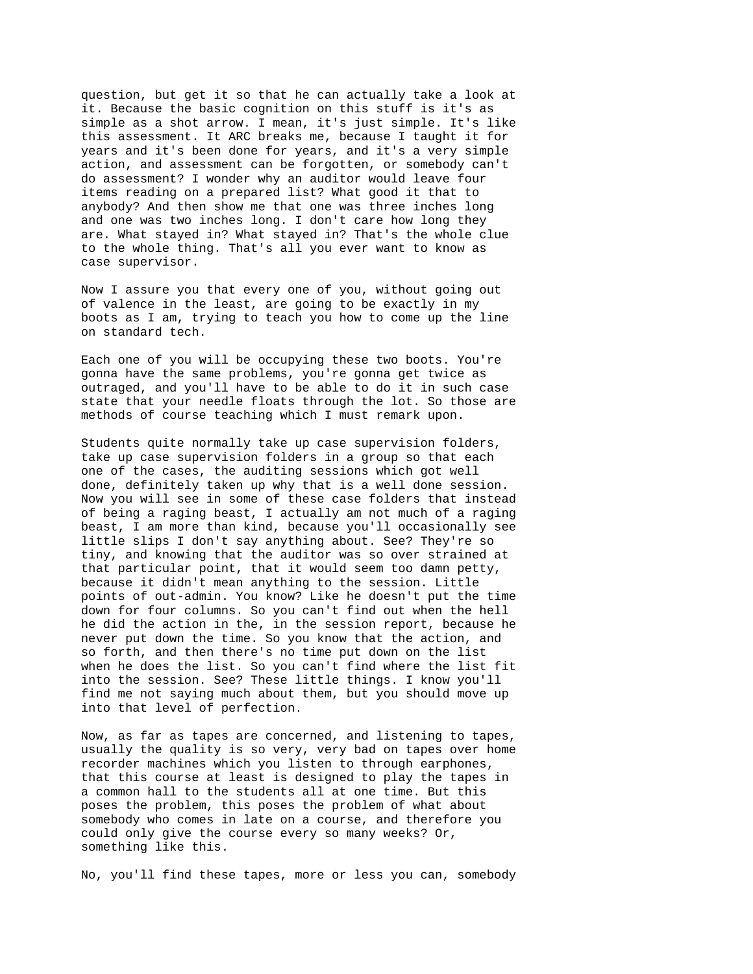question, but get it so that he can actually take a look at it. Because the basic cognition on this stuff is it's as simple as a shot arrow. I mean, it's just simple. It's like this assessment. It ARC breaks me, because I taught it for years and it's been done for years, and it's a very simple action, and assessment can be forgotten, or somebody can't do assessment? I wonder why an auditor would leave four items reading on a prepared list? What good it that to anybody? And then show me that one was three inches long and one was two inches long. I don't care how long they are. What stayed in? What stayed in? That's the whole clue to the whole thing. That's all you ever want to know as case supervisor.

Now I assure you that every one of you, without going out of valence in the least, are going to be exactly in my boots as I am, trying to teach you how to come up the line on standard tech.

Each one of you will be occupying these two boots. You're gonna have the same problems, you're gonna get twice as outraged, and you'll have to be able to do it in such case state that your needle floats through the lot. So those are methods of course teaching which I must remark upon.

Students quite normally take up case supervision folders, take up case supervision folders in a group so that each one of the cases, the auditing sessions which got well done, definitely taken up why that is a well done session. Now you will see in some of these case folders that instead of being a raging beast, I actually am not much of a raging beast, I am more than kind, because you'll occasionally see little slips I don't say anything about. See? They're so tiny, and knowing that the auditor was so over strained at that particular point, that it would seem too damn petty, because it didn't mean anything to the session. Little points of out-admin. You know? Like he doesn't put the time down for four columns. So you can't find out when the hell he did the action in the, in the session report, because he never put down the time. So you know that the action, and so forth, and then there's no time put down on the list when he does the list. So you can't find where the list fit into the session. See? These little things. I know you'll find me not saying much about them, but you should move up into that level of perfection.

Now, as far as tapes are concerned, and listening to tapes, usually the quality is so very, very bad on tapes over home recorder machines which you listen to through earphones, that this course at least is designed to play the tapes in a common hall to the students all at one time. But this poses the problem, this poses the problem of what about somebody who comes in late on a course, and therefore you could only give the course every so many weeks? Or, something like this.

No, you'll find these tapes, more or less you can, somebody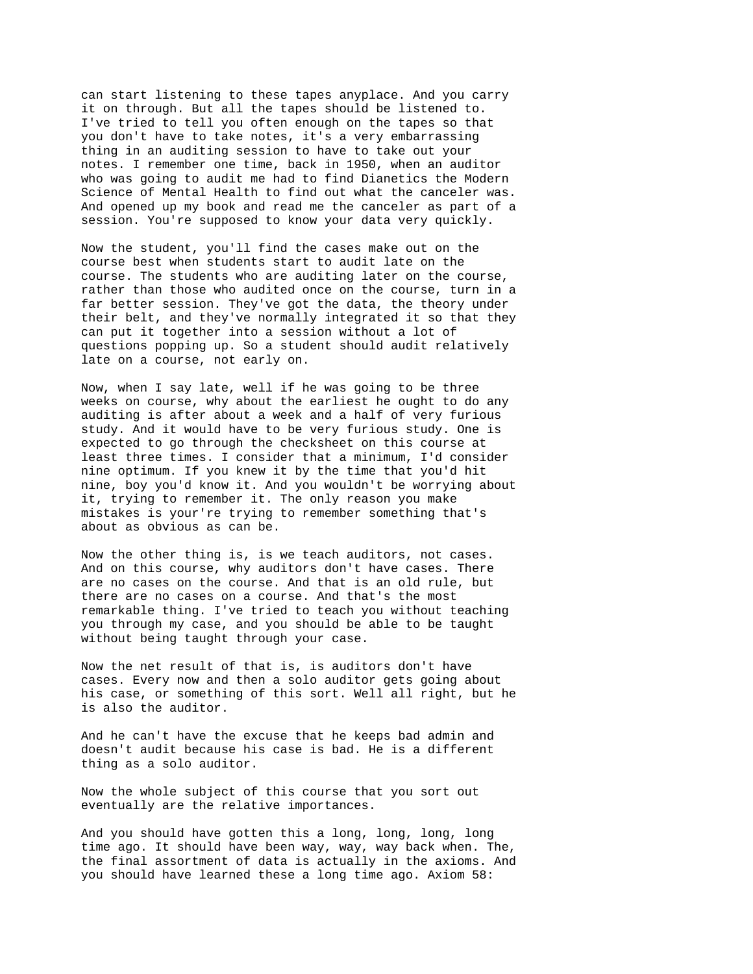can start listening to these tapes anyplace. And you carry it on through. But all the tapes should be listened to. I've tried to tell you often enough on the tapes so that you don't have to take notes, it's a very embarrassing thing in an auditing session to have to take out your notes. I remember one time, back in 1950, when an auditor who was going to audit me had to find Dianetics the Modern Science of Mental Health to find out what the canceler was. And opened up my book and read me the canceler as part of a session. You're supposed to know your data very quickly.

Now the student, you'll find the cases make out on the course best when students start to audit late on the course. The students who are auditing later on the course, rather than those who audited once on the course, turn in a far better session. They've got the data, the theory under their belt, and they've normally integrated it so that they can put it together into a session without a lot of questions popping up. So a student should audit relatively late on a course, not early on.

Now, when I say late, well if he was going to be three weeks on course, why about the earliest he ought to do any auditing is after about a week and a half of very furious study. And it would have to be very furious study. One is expected to go through the checksheet on this course at least three times. I consider that a minimum, I'd consider nine optimum. If you knew it by the time that you'd hit nine, boy you'd know it. And you wouldn't be worrying about it, trying to remember it. The only reason you make mistakes is your're trying to remember something that's about as obvious as can be.

Now the other thing is, is we teach auditors, not cases. And on this course, why auditors don't have cases. There are no cases on the course. And that is an old rule, but there are no cases on a course. And that's the most remarkable thing. I've tried to teach you without teaching you through my case, and you should be able to be taught without being taught through your case.

Now the net result of that is, is auditors don't have cases. Every now and then a solo auditor gets going about his case, or something of this sort. Well all right, but he is also the auditor.

And he can't have the excuse that he keeps bad admin and doesn't audit because his case is bad. He is a different thing as a solo auditor.

Now the whole subject of this course that you sort out eventually are the relative importances.

And you should have gotten this a long, long, long, long time ago. It should have been way, way, way back when. The, the final assortment of data is actually in the axioms. And you should have learned these a long time ago. Axiom 58: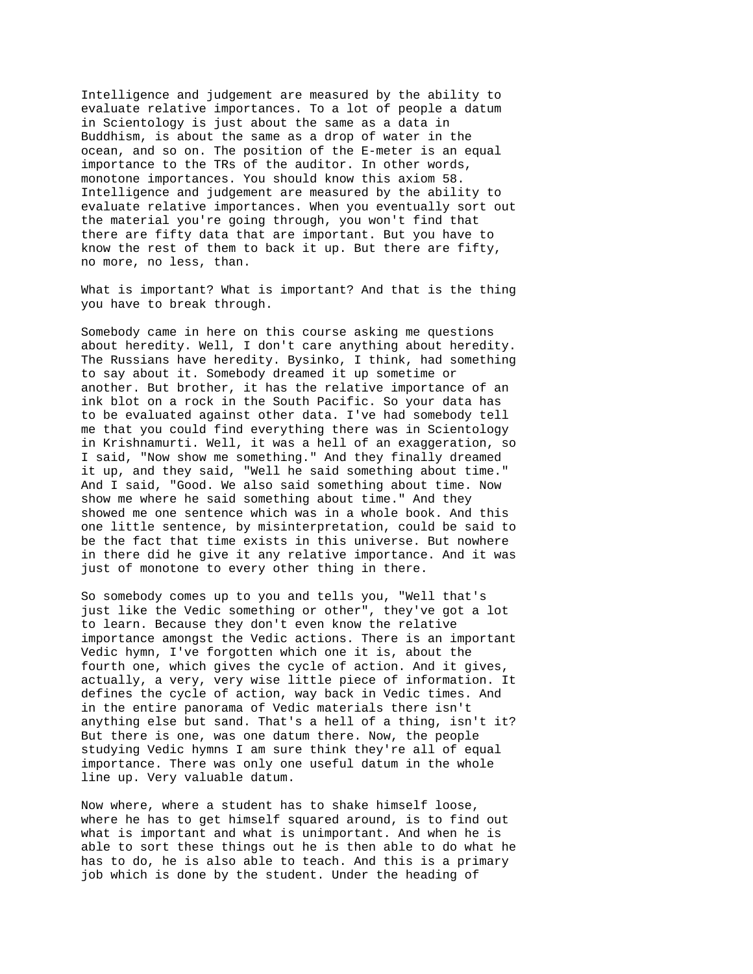Intelligence and judgement are measured by the ability to evaluate relative importances. To a lot of people a datum in Scientology is just about the same as a data in Buddhism, is about the same as a drop of water in the ocean, and so on. The position of the E-meter is an equal importance to the TRs of the auditor. In other words, monotone importances. You should know this axiom 58. Intelligence and judgement are measured by the ability to evaluate relative importances. When you eventually sort out the material you're going through, you won't find that there are fifty data that are important. But you have to know the rest of them to back it up. But there are fifty, no more, no less, than.

What is important? What is important? And that is the thing you have to break through.

Somebody came in here on this course asking me questions about heredity. Well, I don't care anything about heredity. The Russians have heredity. Bysinko, I think, had something to say about it. Somebody dreamed it up sometime or another. But brother, it has the relative importance of an ink blot on a rock in the South Pacific. So your data has to be evaluated against other data. I've had somebody tell me that you could find everything there was in Scientology in Krishnamurti. Well, it was a hell of an exaggeration, so I said, "Now show me something." And they finally dreamed it up, and they said, "Well he said something about time." And I said, "Good. We also said something about time. Now show me where he said something about time." And they showed me one sentence which was in a whole book. And this one little sentence, by misinterpretation, could be said to be the fact that time exists in this universe. But nowhere in there did he give it any relative importance. And it was just of monotone to every other thing in there.

So somebody comes up to you and tells you, "Well that's just like the Vedic something or other", they've got a lot to learn. Because they don't even know the relative importance amongst the Vedic actions. There is an important Vedic hymn, I've forgotten which one it is, about the fourth one, which gives the cycle of action. And it gives, actually, a very, very wise little piece of information. It defines the cycle of action, way back in Vedic times. And in the entire panorama of Vedic materials there isn't anything else but sand. That's a hell of a thing, isn't it? But there is one, was one datum there. Now, the people studying Vedic hymns I am sure think they're all of equal importance. There was only one useful datum in the whole line up. Very valuable datum.

Now where, where a student has to shake himself loose, where he has to get himself squared around, is to find out what is important and what is unimportant. And when he is able to sort these things out he is then able to do what he has to do, he is also able to teach. And this is a primary job which is done by the student. Under the heading of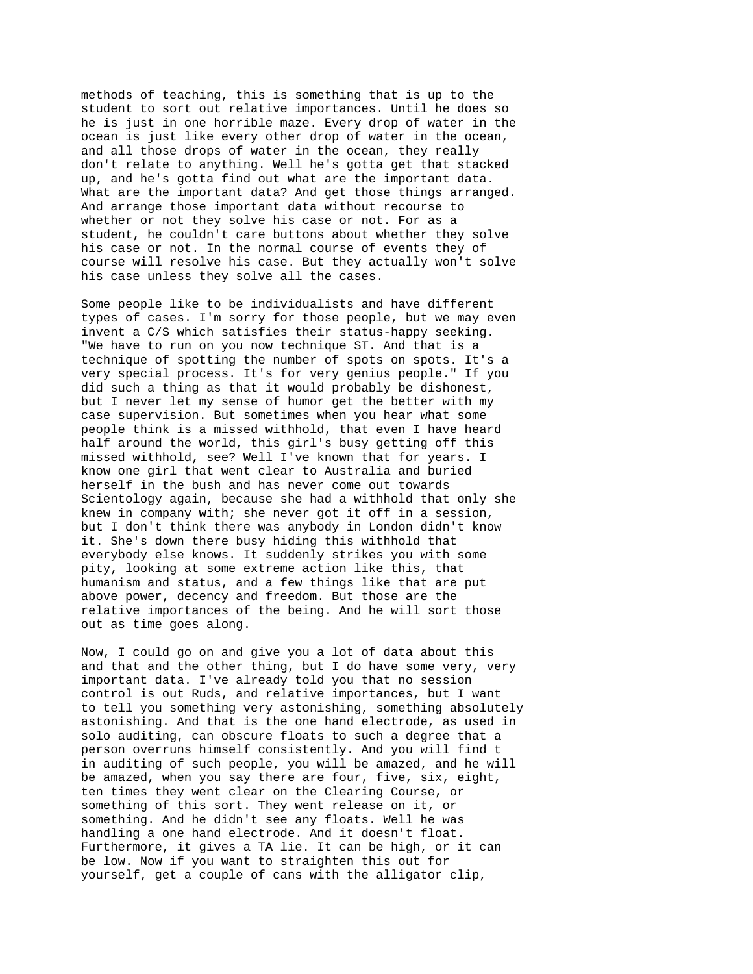methods of teaching, this is something that is up to the student to sort out relative importances. Until he does so he is just in one horrible maze. Every drop of water in the ocean is just like every other drop of water in the ocean, and all those drops of water in the ocean, they really don't relate to anything. Well he's gotta get that stacked up, and he's gotta find out what are the important data. What are the important data? And get those things arranged. And arrange those important data without recourse to whether or not they solve his case or not. For as a student, he couldn't care buttons about whether they solve his case or not. In the normal course of events they of course will resolve his case. But they actually won't solve his case unless they solve all the cases.

Some people like to be individualists and have different types of cases. I'm sorry for those people, but we may even invent a C/S which satisfies their status-happy seeking. "We have to run on you now technique ST. And that is a technique of spotting the number of spots on spots. It's a very special process. It's for very genius people." If you did such a thing as that it would probably be dishonest, but I never let my sense of humor get the better with my case supervision. But sometimes when you hear what some people think is a missed withhold, that even I have heard half around the world, this girl's busy getting off this missed withhold, see? Well I've known that for years. I know one girl that went clear to Australia and buried herself in the bush and has never come out towards Scientology again, because she had a withhold that only she knew in company with; she never got it off in a session, but I don't think there was anybody in London didn't know it. She's down there busy hiding this withhold that everybody else knows. It suddenly strikes you with some pity, looking at some extreme action like this, that humanism and status, and a few things like that are put above power, decency and freedom. But those are the relative importances of the being. And he will sort those out as time goes along.

Now, I could go on and give you a lot of data about this and that and the other thing, but I do have some very, very important data. I've already told you that no session control is out Ruds, and relative importances, but I want to tell you something very astonishing, something absolutely astonishing. And that is the one hand electrode, as used in solo auditing, can obscure floats to such a degree that a person overruns himself consistently. And you will find t in auditing of such people, you will be amazed, and he will be amazed, when you say there are four, five, six, eight, ten times they went clear on the Clearing Course, or something of this sort. They went release on it, or something. And he didn't see any floats. Well he was handling a one hand electrode. And it doesn't float. Furthermore, it gives a TA lie. It can be high, or it can be low. Now if you want to straighten this out for yourself, get a couple of cans with the alligator clip,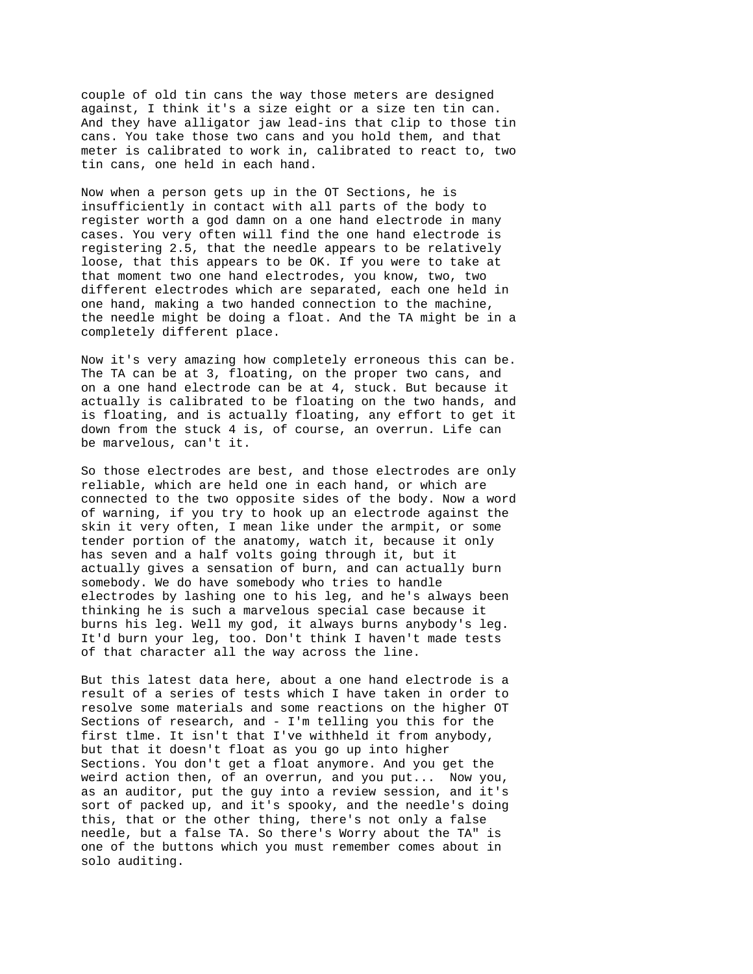couple of old tin cans the way those meters are designed against, I think it's a size eight or a size ten tin can. And they have alligator jaw lead-ins that clip to those tin cans. You take those two cans and you hold them, and that meter is calibrated to work in, calibrated to react to, two tin cans, one held in each hand.

Now when a person gets up in the OT Sections, he is insufficiently in contact with all parts of the body to register worth a god damn on a one hand electrode in many cases. You very often will find the one hand electrode is registering 2.5, that the needle appears to be relatively loose, that this appears to be OK. If you were to take at that moment two one hand electrodes, you know, two, two different electrodes which are separated, each one held in one hand, making a two handed connection to the machine, the needle might be doing a float. And the TA might be in a completely different place.

Now it's very amazing how completely erroneous this can be. The TA can be at 3, floating, on the proper two cans, and on a one hand electrode can be at 4, stuck. But because it actually is calibrated to be floating on the two hands, and is floating, and is actually floating, any effort to get it down from the stuck 4 is, of course, an overrun. Life can be marvelous, can't it.

So those electrodes are best, and those electrodes are only reliable, which are held one in each hand, or which are connected to the two opposite sides of the body. Now a word of warning, if you try to hook up an electrode against the skin it very often, I mean like under the armpit, or some tender portion of the anatomy, watch it, because it only has seven and a half volts going through it, but it actually gives a sensation of burn, and can actually burn somebody. We do have somebody who tries to handle electrodes by lashing one to his leg, and he's always been thinking he is such a marvelous special case because it burns his leg. Well my god, it always burns anybody's leg. It'd burn your leg, too. Don't think I haven't made tests of that character all the way across the line.

But this latest data here, about a one hand electrode is a result of a series of tests which I have taken in order to resolve some materials and some reactions on the higher OT Sections of research, and - I'm telling you this for the first tlme. It isn't that I've withheld it from anybody, but that it doesn't float as you go up into higher Sections. You don't get a float anymore. And you get the weird action then, of an overrun, and you put... Now you, as an auditor, put the guy into a review session, and it's sort of packed up, and it's spooky, and the needle's doing this, that or the other thing, there's not only a false needle, but a false TA. So there's Worry about the TA" is one of the buttons which you must remember comes about in solo auditing.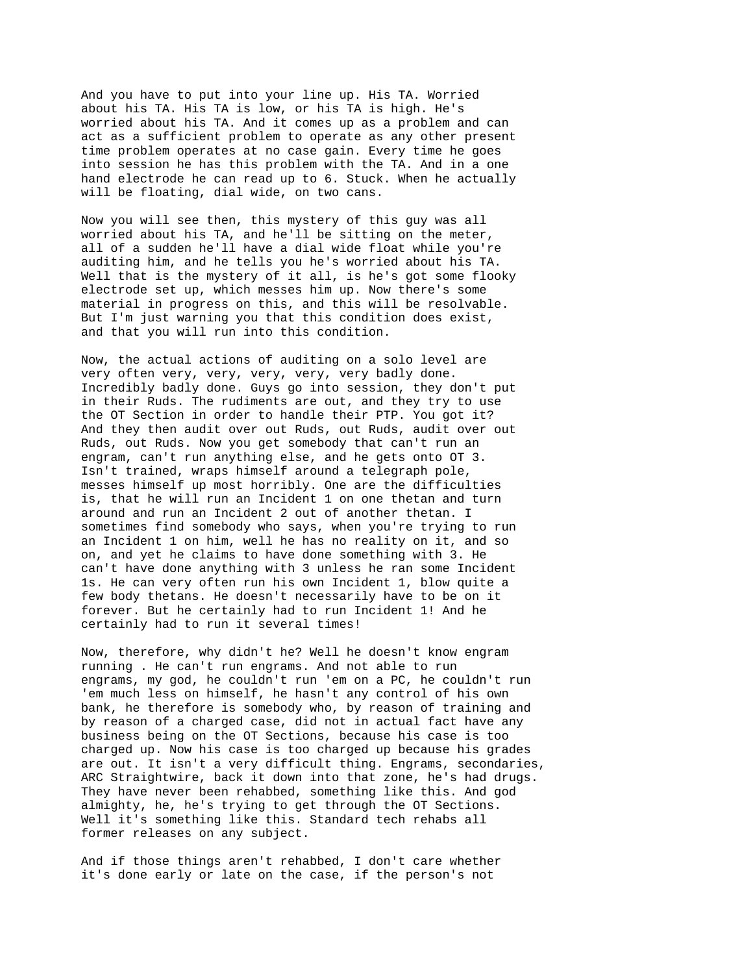And you have to put into your line up. His TA. Worried about his TA. His TA is low, or his TA is high. He's worried about his TA. And it comes up as a problem and can act as a sufficient problem to operate as any other present time problem operates at no case gain. Every time he goes into session he has this problem with the TA. And in a one hand electrode he can read up to 6. Stuck. When he actually will be floating, dial wide, on two cans.

Now you will see then, this mystery of this guy was all worried about his TA, and he'll be sitting on the meter, all of a sudden he'll have a dial wide float while you're auditing him, and he tells you he's worried about his TA. Well that is the mystery of it all, is he's got some flooky electrode set up, which messes him up. Now there's some material in progress on this, and this will be resolvable. But I'm just warning you that this condition does exist, and that you will run into this condition.

Now, the actual actions of auditing on a solo level are very often very, very, very, very, very badly done. Incredibly badly done. Guys go into session, they don't put in their Ruds. The rudiments are out, and they try to use the OT Section in order to handle their PTP. You got it? And they then audit over out Ruds, out Ruds, audit over out Ruds, out Ruds. Now you get somebody that can't run an engram, can't run anything else, and he gets onto OT 3. Isn't trained, wraps himself around a telegraph pole, messes himself up most horribly. One are the difficulties is, that he will run an Incident 1 on one thetan and turn around and run an Incident 2 out of another thetan. I sometimes find somebody who says, when you're trying to run an Incident 1 on him, well he has no reality on it, and so on, and yet he claims to have done something with 3. He can't have done anything with 3 unless he ran some Incident 1s. He can very often run his own Incident 1, blow quite a few body thetans. He doesn't necessarily have to be on it forever. But he certainly had to run Incident 1! And he certainly had to run it several times!

Now, therefore, why didn't he? Well he doesn't know engram running . He can't run engrams. And not able to run engrams, my god, he couldn't run 'em on a PC, he couldn't run 'em much less on himself, he hasn't any control of his own bank, he therefore is somebody who, by reason of training and by reason of a charged case, did not in actual fact have any business being on the OT Sections, because his case is too charged up. Now his case is too charged up because his grades are out. It isn't a very difficult thing. Engrams, secondaries, ARC Straightwire, back it down into that zone, he's had drugs. They have never been rehabbed, something like this. And god almighty, he, he's trying to get through the OT Sections. Well it's something like this. Standard tech rehabs all former releases on any subject.

And if those things aren't rehabbed, I don't care whether it's done early or late on the case, if the person's not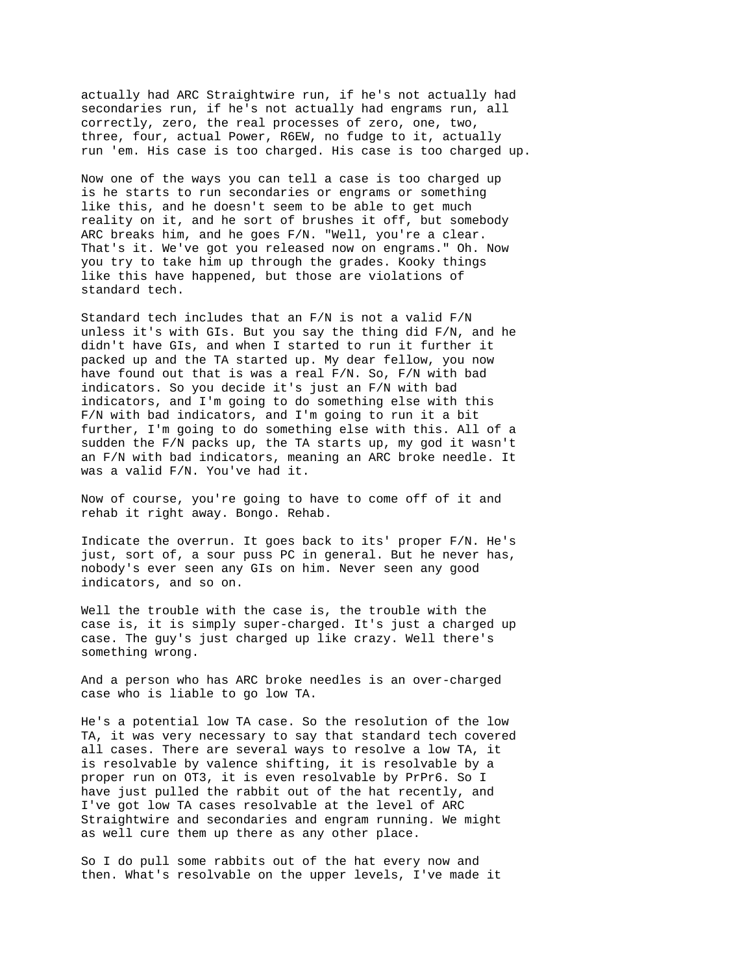actually had ARC Straightwire run, if he's not actually had secondaries run, if he's not actually had engrams run, all correctly, zero, the real processes of zero, one, two, three, four, actual Power, R6EW, no fudge to it, actually run 'em. His case is too charged. His case is too charged up.

Now one of the ways you can tell a case is too charged up is he starts to run secondaries or engrams or something like this, and he doesn't seem to be able to get much reality on it, and he sort of brushes it off, but somebody ARC breaks him, and he goes F/N. "Well, you're a clear. That's it. We've got you released now on engrams." Oh. Now you try to take him up through the grades. Kooky things like this have happened, but those are violations of standard tech.

Standard tech includes that an F/N is not a valid F/N unless it's with GIs. But you say the thing did F/N, and he didn't have GIs, and when I started to run it further it packed up and the TA started up. My dear fellow, you now have found out that is was a real F/N. So, F/N with bad indicators. So you decide it's just an F/N with bad indicators, and I'm going to do something else with this F/N with bad indicators, and I'm going to run it a bit further, I'm going to do something else with this. All of a sudden the F/N packs up, the TA starts up, my god it wasn't an F/N with bad indicators, meaning an ARC broke needle. It was a valid F/N. You've had it.

Now of course, you're going to have to come off of it and rehab it right away. Bongo. Rehab.

Indicate the overrun. It goes back to its' proper F/N. He's just, sort of, a sour puss PC in general. But he never has, nobody's ever seen any GIs on him. Never seen any good indicators, and so on.

Well the trouble with the case is, the trouble with the case is, it is simply super-charged. It's just a charged up case. The guy's just charged up like crazy. Well there's something wrong.

And a person who has ARC broke needles is an over-charged case who is liable to go low TA.

He's a potential low TA case. So the resolution of the low TA, it was very necessary to say that standard tech covered all cases. There are several ways to resolve a low TA, it is resolvable by valence shifting, it is resolvable by a proper run on OT3, it is even resolvable by PrPr6. So I have just pulled the rabbit out of the hat recently, and I've got low TA cases resolvable at the level of ARC Straightwire and secondaries and engram running. We might as well cure them up there as any other place.

So I do pull some rabbits out of the hat every now and then. What's resolvable on the upper levels, I've made it